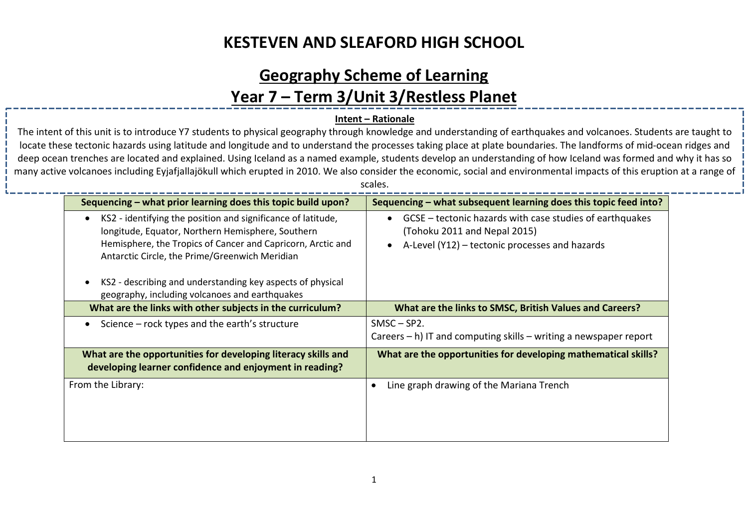#### **Geography Scheme of Learning**

#### **Year 7 – Term 3/Unit 3/Restless Planet**

#### **Intent – Rationale**

The intent of this unit is to introduce Y7 students to physical geography through knowledge and understanding of earthquakes and volcanoes. Students are taught to locate these tectonic hazards using latitude and longitude and to understand the processes taking place at plate boundaries. The landforms of mid-ocean ridges and deep ocean trenches are located and explained. Using Iceland as a named example, students develop an understanding of how Iceland was formed and why it has so many active volcanoes including Eyjafjallajökull which erupted in 2010. We also consider the economic, social and environmental impacts of this eruption at a range of

|  | d.<br>. . |  |  |
|--|-----------|--|--|
|  |           |  |  |

j

| Sequencing – what prior learning does this topic build upon?                                                                                                                                                                                    | Sequencing – what subsequent learning does this topic feed into?                                                                                                     |  |
|-------------------------------------------------------------------------------------------------------------------------------------------------------------------------------------------------------------------------------------------------|----------------------------------------------------------------------------------------------------------------------------------------------------------------------|--|
| KS2 - identifying the position and significance of latitude,<br>$\bullet$<br>longitude, Equator, Northern Hemisphere, Southern<br>Hemisphere, the Tropics of Cancer and Capricorn, Arctic and<br>Antarctic Circle, the Prime/Greenwich Meridian | GCSE – tectonic hazards with case studies of earthquakes<br>$\bullet$<br>(Tohoku 2011 and Nepal 2015)<br>A-Level (Y12) - tectonic processes and hazards<br>$\bullet$ |  |
| KS2 - describing and understanding key aspects of physical<br>geography, including volcanoes and earthquakes                                                                                                                                    |                                                                                                                                                                      |  |
| What are the links with other subjects in the curriculum?                                                                                                                                                                                       | What are the links to SMSC, British Values and Careers?                                                                                                              |  |
| Science $-$ rock types and the earth's structure                                                                                                                                                                                                | $SMSC - SP2.$<br>Careers $- h$ ) IT and computing skills $-$ writing a newspaper report                                                                              |  |
| What are the opportunities for developing literacy skills and<br>developing learner confidence and enjoyment in reading?                                                                                                                        | What are the opportunities for developing mathematical skills?                                                                                                       |  |
| From the Library:                                                                                                                                                                                                                               | Line graph drawing of the Mariana Trench<br>٠                                                                                                                        |  |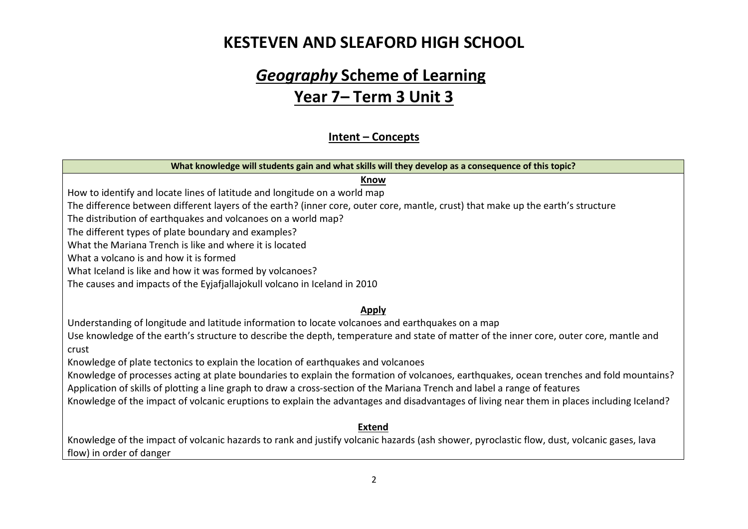# *Geography* **Scheme of Learning Year 7– Term 3 Unit 3**

#### **Intent – Concepts**

| What knowledge will students gain and what skills will they develop as a consequence of this topic?                                                                                                                                                                    |
|------------------------------------------------------------------------------------------------------------------------------------------------------------------------------------------------------------------------------------------------------------------------|
| <b>Know</b>                                                                                                                                                                                                                                                            |
| How to identify and locate lines of latitude and longitude on a world map                                                                                                                                                                                              |
| The difference between different layers of the earth? (inner core, outer core, mantle, crust) that make up the earth's structure                                                                                                                                       |
| The distribution of earthquakes and volcanoes on a world map?                                                                                                                                                                                                          |
| The different types of plate boundary and examples?                                                                                                                                                                                                                    |
| What the Mariana Trench is like and where it is located                                                                                                                                                                                                                |
| What a volcano is and how it is formed                                                                                                                                                                                                                                 |
| What Iceland is like and how it was formed by volcanoes?                                                                                                                                                                                                               |
| The causes and impacts of the Eyjafjallajokull volcano in Iceland in 2010                                                                                                                                                                                              |
| <b>Apply</b>                                                                                                                                                                                                                                                           |
| Understanding of longitude and latitude information to locate volcanoes and earthquakes on a map                                                                                                                                                                       |
| Use knowledge of the earth's structure to describe the depth, temperature and state of matter of the inner core, outer core, mantle and<br>crust                                                                                                                       |
| Knowledge of plate tectonics to explain the location of earthquakes and volcanoes                                                                                                                                                                                      |
| Knowledge of processes acting at plate boundaries to explain the formation of volcanoes, earthquakes, ocean trenches and fold mountains?<br>Application of skills of plotting a line graph to draw a cross-section of the Mariana Trench and label a range of features |
| Knowledge of the impact of volcanic eruptions to explain the advantages and disadvantages of living near them in places including Iceland?                                                                                                                             |
| <b>Extend</b>                                                                                                                                                                                                                                                          |
| Knowledge of the impact of volcanic hazards to rank and justify volcanic hazards (ash shower, pyroclastic flow, dust, volcanic gases, lava<br>flow) in order of danger                                                                                                 |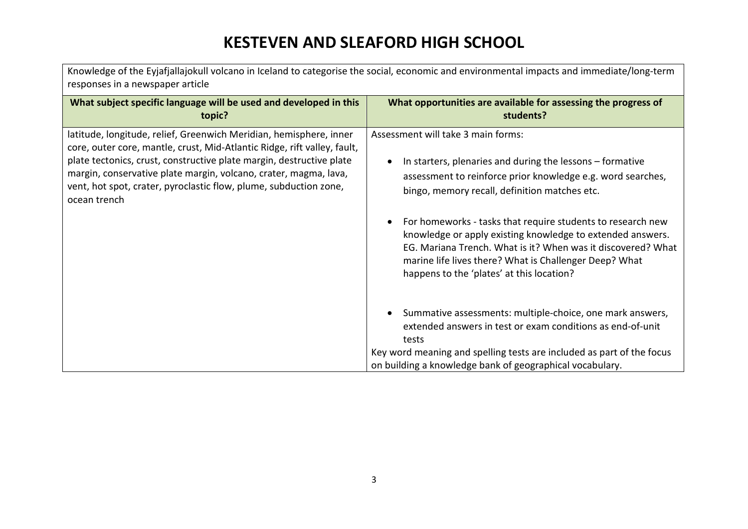| Knowledge of the Eyjafjallajokull volcano in Iceland to categorise the social, economic and environmental impacts and immediate/long-term<br>responses in a newspaper article                                                                                                                                                                                                   |                                                                                                                                                                                                                                                                                                                                                                                                                                                                                                                                  |  |  |  |
|---------------------------------------------------------------------------------------------------------------------------------------------------------------------------------------------------------------------------------------------------------------------------------------------------------------------------------------------------------------------------------|----------------------------------------------------------------------------------------------------------------------------------------------------------------------------------------------------------------------------------------------------------------------------------------------------------------------------------------------------------------------------------------------------------------------------------------------------------------------------------------------------------------------------------|--|--|--|
| What subject specific language will be used and developed in this<br>topic?                                                                                                                                                                                                                                                                                                     | What opportunities are available for assessing the progress of<br>students?                                                                                                                                                                                                                                                                                                                                                                                                                                                      |  |  |  |
| latitude, longitude, relief, Greenwich Meridian, hemisphere, inner<br>core, outer core, mantle, crust, Mid-Atlantic Ridge, rift valley, fault,<br>plate tectonics, crust, constructive plate margin, destructive plate<br>margin, conservative plate margin, volcano, crater, magma, lava,<br>vent, hot spot, crater, pyroclastic flow, plume, subduction zone,<br>ocean trench | Assessment will take 3 main forms:<br>In starters, plenaries and during the lessons – formative<br>assessment to reinforce prior knowledge e.g. word searches,<br>bingo, memory recall, definition matches etc.<br>For homeworks - tasks that require students to research new<br>$\bullet$<br>knowledge or apply existing knowledge to extended answers.<br>EG. Mariana Trench. What is it? When was it discovered? What<br>marine life lives there? What is Challenger Deep? What<br>happens to the 'plates' at this location? |  |  |  |
|                                                                                                                                                                                                                                                                                                                                                                                 | Summative assessments: multiple-choice, one mark answers,<br>$\bullet$<br>extended answers in test or exam conditions as end-of-unit<br>tests                                                                                                                                                                                                                                                                                                                                                                                    |  |  |  |
|                                                                                                                                                                                                                                                                                                                                                                                 | Key word meaning and spelling tests are included as part of the focus<br>on building a knowledge bank of geographical vocabulary.                                                                                                                                                                                                                                                                                                                                                                                                |  |  |  |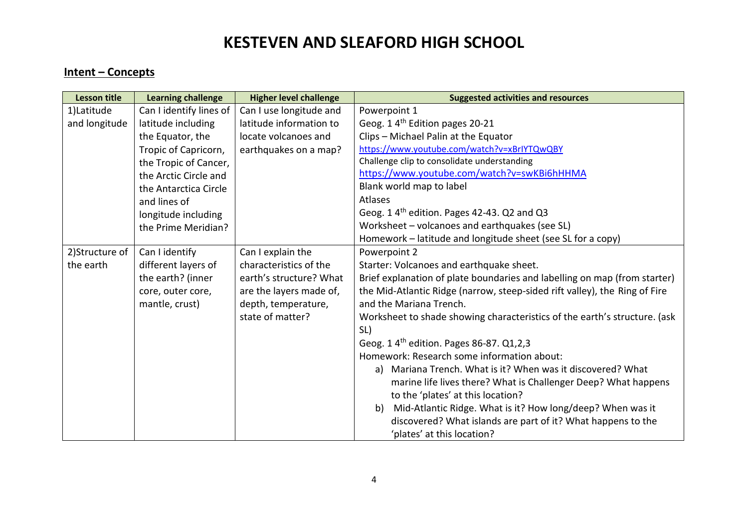#### **Intent – Concepts**

| <b>Lesson title</b> | <b>Learning challenge</b> | <b>Higher level challenge</b> | <b>Suggested activities and resources</b>                                  |
|---------------------|---------------------------|-------------------------------|----------------------------------------------------------------------------|
| 1)Latitude          | Can I identify lines of   | Can I use longitude and       | Powerpoint 1                                                               |
| and longitude       | latitude including        | latitude information to       | Geog. 1 4 <sup>th</sup> Edition pages 20-21                                |
|                     | the Equator, the          | locate volcanoes and          | Clips - Michael Palin at the Equator                                       |
|                     | Tropic of Capricorn,      | earthquakes on a map?         | https://www.youtube.com/watch?v=xBrIYTQwQBY                                |
|                     | the Tropic of Cancer,     |                               | Challenge clip to consolidate understanding                                |
|                     | the Arctic Circle and     |                               | https://www.youtube.com/watch?v=swKBi6hHHMA                                |
|                     | the Antarctica Circle     |                               | Blank world map to label                                                   |
|                     | and lines of              |                               | Atlases                                                                    |
|                     | longitude including       |                               | Geog. 1 4 <sup>th</sup> edition. Pages 42-43. Q2 and Q3                    |
|                     | the Prime Meridian?       |                               | Worksheet - volcanoes and earthquakes (see SL)                             |
|                     |                           |                               | Homework - latitude and longitude sheet (see SL for a copy)                |
| 2) Structure of     | Can I identify            | Can I explain the             | Powerpoint 2                                                               |
| the earth           | different layers of       | characteristics of the        | Starter: Volcanoes and earthquake sheet.                                   |
|                     | the earth? (inner         | earth's structure? What       | Brief explanation of plate boundaries and labelling on map (from starter)  |
|                     | core, outer core,         | are the layers made of,       | the Mid-Atlantic Ridge (narrow, steep-sided rift valley), the Ring of Fire |
|                     | mantle, crust)            | depth, temperature,           | and the Mariana Trench.                                                    |
|                     |                           | state of matter?              | Worksheet to shade showing characteristics of the earth's structure. (ask  |
|                     |                           |                               | SL)                                                                        |
|                     |                           |                               | Geog. 1 4 <sup>th</sup> edition. Pages 86-87. Q1,2,3                       |
|                     |                           |                               | Homework: Research some information about:                                 |
|                     |                           |                               | a) Mariana Trench. What is it? When was it discovered? What                |
|                     |                           |                               | marine life lives there? What is Challenger Deep? What happens             |
|                     |                           |                               | to the 'plates' at this location?                                          |
|                     |                           |                               | Mid-Atlantic Ridge. What is it? How long/deep? When was it<br>b)           |
|                     |                           |                               | discovered? What islands are part of it? What happens to the               |
|                     |                           |                               | 'plates' at this location?                                                 |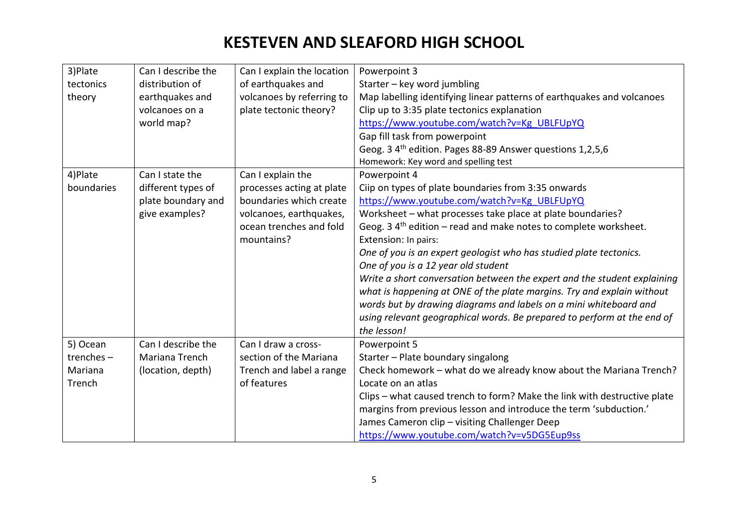| 3)Plate      | Can I describe the | Can I explain the location | Powerpoint 3                                                             |
|--------------|--------------------|----------------------------|--------------------------------------------------------------------------|
| tectonics    | distribution of    | of earthquakes and         | Starter - key word jumbling                                              |
| theory       | earthquakes and    | volcanoes by referring to  | Map labelling identifying linear patterns of earthquakes and volcanoes   |
|              | volcanoes on a     | plate tectonic theory?     | Clip up to 3:35 plate tectonics explanation                              |
|              | world map?         |                            | https://www.youtube.com/watch?v=Kg UBLFUpYQ                              |
|              |                    |                            | Gap fill task from powerpoint                                            |
|              |                    |                            | Geog. 3 4 <sup>th</sup> edition. Pages 88-89 Answer questions 1,2,5,6    |
|              |                    |                            | Homework: Key word and spelling test                                     |
| 4) Plate     | Can I state the    | Can I explain the          | Powerpoint 4                                                             |
| boundaries   | different types of | processes acting at plate  | Ciip on types of plate boundaries from 3:35 onwards                      |
|              | plate boundary and | boundaries which create    | https://www.youtube.com/watch?v=Kg UBLFUpYQ                              |
|              | give examples?     | volcanoes, earthquakes,    | Worksheet - what processes take place at plate boundaries?               |
|              |                    | ocean trenches and fold    | Geog. 3 $4th$ edition – read and make notes to complete worksheet.       |
|              |                    | mountains?                 | Extension: In pairs:                                                     |
|              |                    |                            | One of you is an expert geologist who has studied plate tectonics.       |
|              |                    |                            | One of you is a 12 year old student                                      |
|              |                    |                            | Write a short conversation between the expert and the student explaining |
|              |                    |                            | what is happening at ONE of the plate margins. Try and explain without   |
|              |                    |                            | words but by drawing diagrams and labels on a mini whiteboard and        |
|              |                    |                            | using relevant geographical words. Be prepared to perform at the end of  |
|              |                    |                            | the lesson!                                                              |
| 5) Ocean     | Can I describe the | Can I draw a cross-        | Powerpoint 5                                                             |
| trenches $-$ | Mariana Trench     | section of the Mariana     | Starter - Plate boundary singalong                                       |
| Mariana      | (location, depth)  | Trench and label a range   | Check homework - what do we already know about the Mariana Trench?       |
| Trench       |                    | of features                | Locate on an atlas                                                       |
|              |                    |                            | Clips - what caused trench to form? Make the link with destructive plate |
|              |                    |                            | margins from previous lesson and introduce the term 'subduction.'        |
|              |                    |                            | James Cameron clip - visiting Challenger Deep                            |
|              |                    |                            | https://www.youtube.com/watch?v=v5DG5Eup9ss                              |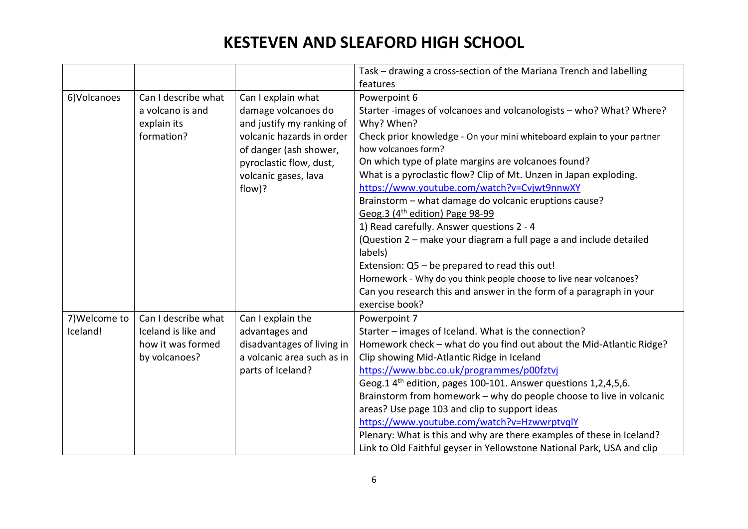|               |                     |                            | Task - drawing a cross-section of the Mariana Trench and labelling<br>features |
|---------------|---------------------|----------------------------|--------------------------------------------------------------------------------|
|               |                     |                            |                                                                                |
| 6) Volcanoes  | Can I describe what | Can I explain what         | Powerpoint 6                                                                   |
|               | a volcano is and    | damage volcanoes do        | Starter -images of volcanoes and volcanologists - who? What? Where?            |
|               | explain its         | and justify my ranking of  | Why? When?                                                                     |
|               | formation?          | volcanic hazards in order  | Check prior knowledge - On your mini whiteboard explain to your partner        |
|               |                     | of danger (ash shower,     | how volcanoes form?                                                            |
|               |                     | pyroclastic flow, dust,    | On which type of plate margins are volcanoes found?                            |
|               |                     | volcanic gases, lava       | What is a pyroclastic flow? Clip of Mt. Unzen in Japan exploding.              |
|               |                     | flow)?                     | https://www.youtube.com/watch?v=Cvjwt9nnwXY                                    |
|               |                     |                            | Brainstorm - what damage do volcanic eruptions cause?                          |
|               |                     |                            | Geog.3 (4 <sup>th</sup> edition) Page 98-99                                    |
|               |                     |                            | 1) Read carefully. Answer questions 2 - 4                                      |
|               |                     |                            | (Question 2 – make your diagram a full page a and include detailed             |
|               |                     |                            | labels)                                                                        |
|               |                     |                            | Extension: Q5 - be prepared to read this out!                                  |
|               |                     |                            | Homework - Why do you think people choose to live near volcanoes?              |
|               |                     |                            | Can you research this and answer in the form of a paragraph in your            |
|               |                     |                            | exercise book?                                                                 |
| 7) Welcome to | Can I describe what | Can I explain the          | Powerpoint 7                                                                   |
| Iceland!      | Iceland is like and | advantages and             | Starter – images of Iceland. What is the connection?                           |
|               | how it was formed   | disadvantages of living in | Homework check - what do you find out about the Mid-Atlantic Ridge?            |
|               | by volcanoes?       | a volcanic area such as in | Clip showing Mid-Atlantic Ridge in Iceland                                     |
|               |                     | parts of Iceland?          | https://www.bbc.co.uk/programmes/p00fztvj                                      |
|               |                     |                            | Geog.1 4 <sup>th</sup> edition, pages 100-101. Answer questions 1,2,4,5,6.     |
|               |                     |                            | Brainstorm from homework - why do people choose to live in volcanic            |
|               |                     |                            | areas? Use page 103 and clip to support ideas                                  |
|               |                     |                            | https://www.youtube.com/watch?v=HzwwrptvqlY                                    |
|               |                     |                            | Plenary: What is this and why are there examples of these in Iceland?          |
|               |                     |                            | Link to Old Faithful geyser in Yellowstone National Park, USA and clip         |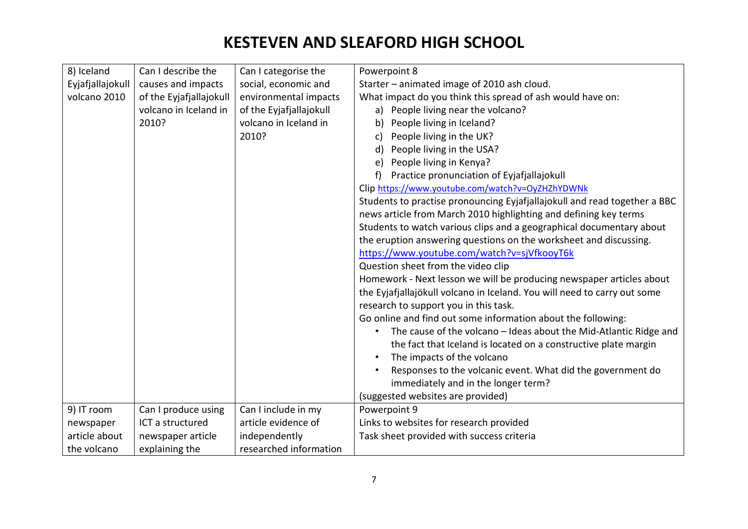| 8) Iceland       | Can I describe the      | Can I categorise the    | Powerpoint 8                                                              |
|------------------|-------------------------|-------------------------|---------------------------------------------------------------------------|
| Eyjafjallajokull | causes and impacts      | social, economic and    | Starter – animated image of 2010 ash cloud.                               |
| volcano 2010     | of the Eyjafjallajokull | environmental impacts   | What impact do you think this spread of ash would have on:                |
|                  | volcano in Iceland in   | of the Eyjafjallajokull | a) People living near the volcano?                                        |
|                  | 2010?                   | volcano in Iceland in   | People living in Iceland?<br>b)                                           |
|                  |                         | 2010?                   | People living in the UK?<br>c)                                            |
|                  |                         |                         | People living in the USA?<br>d)                                           |
|                  |                         |                         | People living in Kenya?<br>e)                                             |
|                  |                         |                         | Practice pronunciation of Eyjafjallajokull<br>f                           |
|                  |                         |                         | Clip https://www.youtube.com/watch?v=OyZHZhYDWNk                          |
|                  |                         |                         |                                                                           |
|                  |                         |                         | Students to practise pronouncing Eyjafjallajokull and read together a BBC |
|                  |                         |                         | news article from March 2010 highlighting and defining key terms          |
|                  |                         |                         | Students to watch various clips and a geographical documentary about      |
|                  |                         |                         | the eruption answering questions on the worksheet and discussing.         |
|                  |                         |                         | https://www.youtube.com/watch?v=sjVfkooyT6k                               |
|                  |                         |                         | Question sheet from the video clip                                        |
|                  |                         |                         | Homework - Next lesson we will be producing newspaper articles about      |
|                  |                         |                         | the Eyjafjallajökull volcano in Iceland. You will need to carry out some  |
|                  |                         |                         | research to support you in this task.                                     |
|                  |                         |                         | Go online and find out some information about the following:              |
|                  |                         |                         | The cause of the volcano - Ideas about the Mid-Atlantic Ridge and         |
|                  |                         |                         | the fact that Iceland is located on a constructive plate margin           |
|                  |                         |                         | The impacts of the volcano                                                |
|                  |                         |                         | Responses to the volcanic event. What did the government do               |
|                  |                         |                         | immediately and in the longer term?                                       |
|                  |                         |                         | (suggested websites are provided)                                         |
| 9) IT room       | Can I produce using     | Can I include in my     | Powerpoint 9                                                              |
| newspaper        | ICT a structured        | article evidence of     | Links to websites for research provided                                   |
| article about    | newspaper article       | independently           | Task sheet provided with success criteria                                 |
| the volcano      | explaining the          | researched information  |                                                                           |